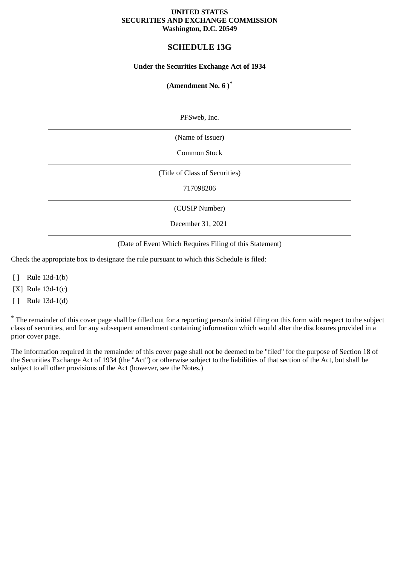#### **UNITED STATES SECURITIES AND EXCHANGE COMMISSION Washington, D.C. 20549**

## **SCHEDULE 13G**

#### **Under the Securities Exchange Act of 1934**

#### **(Amendment No. 6 )\***

PFSweb, Inc.

(Name of Issuer)

Common Stock

(Title of Class of Securities)

717098206

(CUSIP Number)

December 31, 2021

(Date of Event Which Requires Filing of this Statement)

Check the appropriate box to designate the rule pursuant to which this Schedule is filed:

[ ] Rule 13d-1(b)

[X] Rule 13d-1(c)

[ ] Rule 13d-1(d)

\* The remainder of this cover page shall be filled out for a reporting person's initial filing on this form with respect to the subject class of securities, and for any subsequent amendment containing information which would alter the disclosures provided in a prior cover page.

The information required in the remainder of this cover page shall not be deemed to be "filed" for the purpose of Section 18 of the Securities Exchange Act of 1934 (the "Act") or otherwise subject to the liabilities of that section of the Act, but shall be subject to all other provisions of the Act (however, see the Notes.)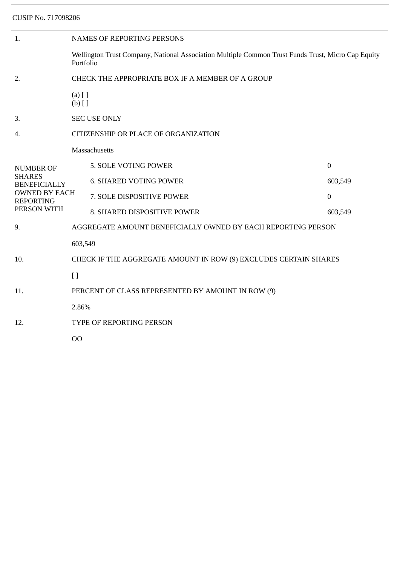CUSIP No. 717098206

| 1.                                                                                                                  | NAMES OF REPORTING PERSONS                                                                                      |                               |                  |  |  |
|---------------------------------------------------------------------------------------------------------------------|-----------------------------------------------------------------------------------------------------------------|-------------------------------|------------------|--|--|
|                                                                                                                     | Wellington Trust Company, National Association Multiple Common Trust Funds Trust, Micro Cap Equity<br>Portfolio |                               |                  |  |  |
| 2.                                                                                                                  | CHECK THE APPROPRIATE BOX IF A MEMBER OF A GROUP                                                                |                               |                  |  |  |
|                                                                                                                     | $(a)$ [ ]<br>$(b)$ []                                                                                           |                               |                  |  |  |
| 3.                                                                                                                  | <b>SEC USE ONLY</b>                                                                                             |                               |                  |  |  |
| 4.                                                                                                                  | CITIZENSHIP OR PLACE OF ORGANIZATION                                                                            |                               |                  |  |  |
|                                                                                                                     |                                                                                                                 | Massachusetts                 |                  |  |  |
| <b>NUMBER OF</b><br><b>SHARES</b><br><b>BENEFICIALLY</b><br><b>OWNED BY EACH</b><br><b>REPORTING</b><br>PERSON WITH |                                                                                                                 | 5. SOLE VOTING POWER          | $\boldsymbol{0}$ |  |  |
|                                                                                                                     |                                                                                                                 | <b>6. SHARED VOTING POWER</b> | 603,549          |  |  |
|                                                                                                                     |                                                                                                                 | 7. SOLE DISPOSITIVE POWER     | $\boldsymbol{0}$ |  |  |
|                                                                                                                     |                                                                                                                 | 8. SHARED DISPOSITIVE POWER   | 603,549          |  |  |
| 9.                                                                                                                  | AGGREGATE AMOUNT BENEFICIALLY OWNED BY EACH REPORTING PERSON                                                    |                               |                  |  |  |
|                                                                                                                     | 603,549                                                                                                         |                               |                  |  |  |
| 10.                                                                                                                 | CHECK IF THE AGGREGATE AMOUNT IN ROW (9) EXCLUDES CERTAIN SHARES                                                |                               |                  |  |  |
|                                                                                                                     | $[ ]$                                                                                                           |                               |                  |  |  |
| 11.                                                                                                                 | PERCENT OF CLASS REPRESENTED BY AMOUNT IN ROW (9)                                                               |                               |                  |  |  |
|                                                                                                                     | 2.86%                                                                                                           |                               |                  |  |  |
| 12.                                                                                                                 | TYPE OF REPORTING PERSON                                                                                        |                               |                  |  |  |
|                                                                                                                     | <b>OO</b>                                                                                                       |                               |                  |  |  |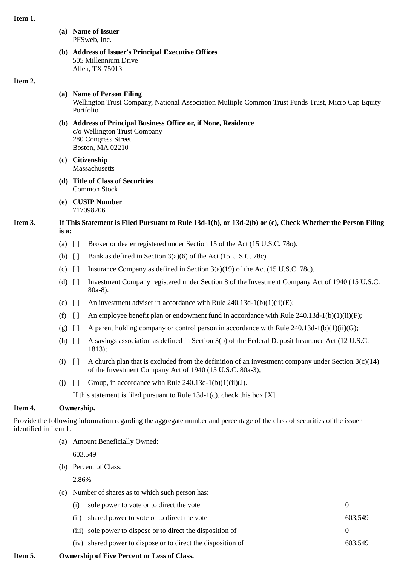#### **Item 1.**

- **(a) Name of Issuer** PFSweb, Inc.
- **(b) Address of Issuer's Principal Executive Offices** 505 Millennium Drive Allen, TX 75013

#### **Item 2.**

# **(a) Name of Person Filing**

Wellington Trust Company, National Association Multiple Common Trust Funds Trust, Micro Cap Equity Portfolio

- **(b) Address of Principal Business Office or, if None, Residence** c/o Wellington Trust Company 280 Congress Street Boston, MA 02210
- **(c) Citizenship Massachusetts**
- **(d) Title of Class of Securities** Common Stock
- **(e) CUSIP Number** 717098206
- **Item 3. If This Statement is Filed Pursuant to Rule 13d-1(b), or 13d-2(b) or (c), Check Whether the Person Filing is a:**
	- (a) [ ] Broker or dealer registered under Section 15 of the Act (15 U.S.C. 78o).
	- (b)  $\begin{bmatrix} \end{bmatrix}$  Bank as defined in Section 3(a)(6) of the Act (15 U.S.C. 78c).
	- (c)  $\lceil \cdot \rceil$  Insurance Company as defined in Section 3(a)(19) of the Act (15 U.S.C. 78c).
	- (d) [ ] Investment Company registered under Section 8 of the Investment Company Act of 1940 (15 U.S.C. 80a-8).
	- (e)  $\lceil$  an investment adviser in accordance with Rule 240.13d-1(b)(1)(ii)(E);
	- (f)  $\left[ \right]$  An employee benefit plan or endowment fund in accordance with Rule 240.13d-1(b)(1)(ii)(F);
	- (g)  $\lceil \cdot \rceil$  A parent holding company or control person in accordance with Rule 240.13d-1(b)(1)(ii)(G);
	- (h) [ ] A savings association as defined in Section 3(b) of the Federal Deposit Insurance Act (12 U.S.C. 1813);
	- (i)  $\lceil \cdot \rceil$  A church plan that is excluded from the definition of an investment company under Section 3(c)(14) of the Investment Company Act of 1940 (15 U.S.C. 80a-3);
	- (i)  $\lceil \cdot \rceil$  Group, in accordance with Rule 240.13d-1(b)(1)(ii)(J).

If this statement is filed pursuant to Rule  $13d-1(c)$ , check this box [X]

#### **Item 4. Ownership.**

Provide the following information regarding the aggregate number and percentage of the class of securities of the issuer identified in Item 1.

(a) Amount Beneficially Owned:

603,549

(b) Percent of Class:

2.86%

(c) Number of shares as to which such person has:

| (i)  | sole power to vote or to direct the vote                     |         |
|------|--------------------------------------------------------------|---------|
| (ii) | shared power to vote or to direct the vote                   | 603.549 |
|      | (iii) sole power to dispose or to direct the disposition of  |         |
|      | (iv) shared power to dispose or to direct the disposition of | 603.549 |

### **Item 5. Ownership of Five Percent or Less of Class.**